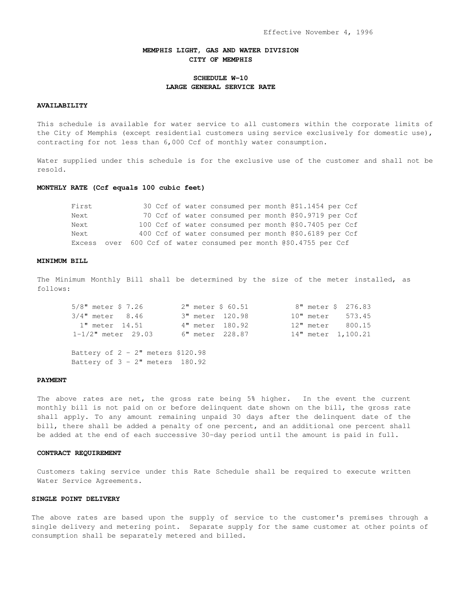## **MEMPHIS LIGHT, GAS AND WATER DIVISION CITY OF MEMPHIS**

# **SCHEDULE W-10 LARGE GENERAL SERVICE RATE**

# **AVAILABILITY**

This schedule is available for water service to all customers within the corporate limits of the City of Memphis (except residential customers using service exclusively for domestic use), contracting for not less than 6,000 Ccf of monthly water consumption.

Water supplied under this schedule is for the exclusive use of the customer and shall not be resold.

#### **MONTHLY RATE (Ccf equals 100 cubic feet)**

| First |  |  | 30 Ccf of water consumed per month @\$1.1454 per Ccf              |  |  |  |
|-------|--|--|-------------------------------------------------------------------|--|--|--|
| Next. |  |  | 70 Ccf of water consumed per month @\$0.9719 per Ccf              |  |  |  |
| Next. |  |  | 100 Ccf of water consumed per month @\$0.7405 per Ccf             |  |  |  |
| Next. |  |  | 400 Ccf of water consumed per month @\$0.6189 per Ccf             |  |  |  |
|       |  |  | Excess over 600 Ccf of water consumed per month @\$0.4755 per Ccf |  |  |  |

## **MINIMUM BILL**

The Minimum Monthly Bill shall be determined by the size of the meter installed, as follows:

| $5/8$ " meter \$ 7.26   | 2" meter \$ 60.51 |  | 8" meter \$ 276.83 |
|-------------------------|-------------------|--|--------------------|
| $3/4$ " meter $8.46$    | 3" meter 120.98   |  | 10" meter 573.45   |
| 1" meter 14.51          | 4" meter 180.92   |  | 12" meter 800.15   |
| $1 - 1/2$ " meter 29.03 | 6" meter 228.87   |  | 14" meter 1,100.21 |

Battery of  $2 - 2$ " meters \$120.98 Battery of  $3 - 2$ " meters  $180.92$ 

### **PAYMENT**

The above rates are net, the gross rate being 5% higher. In the event the current monthly bill is not paid on or before delinquent date shown on the bill, the gross rate shall apply. To any amount remaining unpaid 30 days after the delinquent date of the bill, there shall be added a penalty of one percent, and an additional one percent shall be added at the end of each successive 30-day period until the amount is paid in full.

### **CONTRACT REQUIREMENT**

Customers taking service under this Rate Schedule shall be required to execute written Water Service Agreements.

### **SINGLE POINT DELIVERY**

The above rates are based upon the supply of service to the customer's premises through a single delivery and metering point. Separate supply for the same customer at other points of consumption shall be separately metered and billed.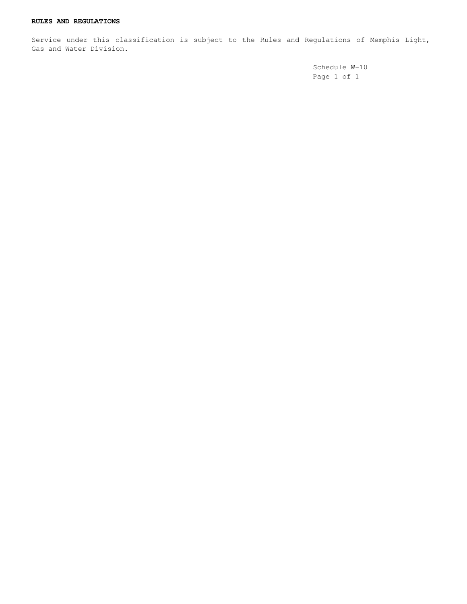Service under this classification is subject to the Rules and Regulations of Memphis Light, Gas and Water Division.

> Schedule W-10 Page 1 of 1